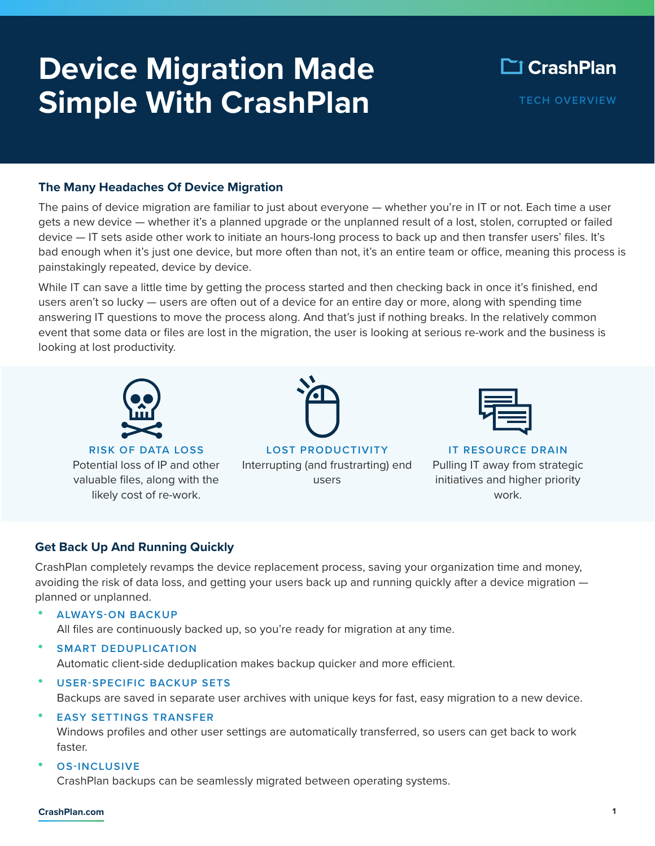# **Device Migration Made Simple With CrashPlan TECH OVERVIEW**

# **The Many Headaches Of Device Migration**

The pains of device migration are familiar to just about everyone — whether you're in IT or not. Each time a user gets a new device — whether it's a planned upgrade or the unplanned result of a lost, stolen, corrupted or failed device — IT sets aside other work to initiate an hours-long process to back up and then transfer users' files. It's bad enough when it's just one device, but more often than not, it's an entire team or office, meaning this process is painstakingly repeated, device by device.

While IT can save a little time by getting the process started and then checking back in once it's finished, end users aren't so lucky — users are often out of a device for an entire day or more, along with spending time answering IT questions to move the process along. And that's just if nothing breaks. In the relatively common event that some data or files are lost in the migration, the user is looking at serious re-work and the business is looking at lost productivity.



**RISK OF DATA LOSS** Potential loss of IP and other valuable files, along with the likely cost of re-work.



**LOST PRODUCTIVITY** Interrupting (and frustrarting) end users



**IT RESOURCE DRAIN** Pulling IT away from strategic initiatives and higher priority work.

## **Get Back Up And Running Quickly**

CrashPlan completely revamps the device replacement process, saving your organization time and money, avoiding the risk of data loss, and getting your users back up and running quickly after a device migration planned or unplanned.

- **• ALWAYS-ON BACKUP** All files are continuously backed up, so you're ready for migration at any time.
- **• SMART DEDUPLICATION** Automatic client-side deduplication makes backup quicker and more efficient.
- **• USER-SPECIFIC BACKUP SETS** Backups are saved in separate user archives with unique keys for fast, easy migration to a new device.

## **• EASY SETTINGS TRANSFER**

Windows profiles and other user settings are automatically transferred, so users can get back to work faster.

**• OS-INCLUSIVE**

CrashPlan backups can be seamlessly migrated between operating systems.